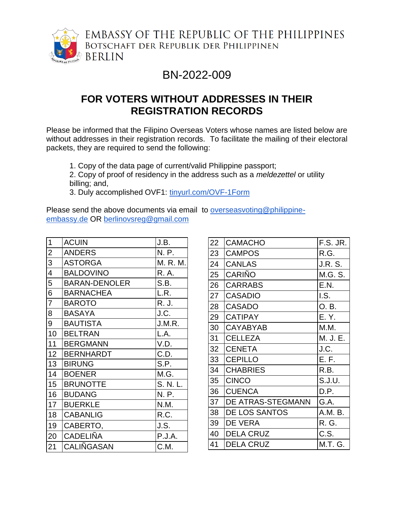

EMBASSY OF THE REPUBLIC OF THE PHILIPPINES BOTSCHAFT DER REPUBLIK DER PHILIPPINEN **BERLIN** 

## BN-2022-009

## **FOR VOTERS WITHOUT ADDRESSES IN THEIR REGISTRATION RECORDS**

Please be informed that the Filipino Overseas Voters whose names are listed below are without addresses in their registration records. To facilitate the mailing of their electoral packets, they are required to send the following:

1. Copy of the data page of current/valid Philippine passport;

2. Copy of proof of residency in the address such as a *meldezettel* or utility billing; and,

3. Duly accomplished OVF1: [tinyurl.com/OVF-1Form](http://tinyurl.com/OVF-1Form)

Please send the above documents via email to [overseasvoting@philippine](mailto:overseasvoting@philippine-embassy.de)[embassy.de](mailto:overseasvoting@philippine-embassy.de) OR [berlinovsreg@gmail.com](mailto:berlinovsreg@gmail.com)

| 1                        | <b>ACUIN</b>         | J.B.     |
|--------------------------|----------------------|----------|
| $\overline{2}$           | <b>ANDERS</b>        | N. P.    |
| $\overline{3}$           | <b>ASTORGA</b>       | M. R. M. |
| $\overline{\mathcal{A}}$ | <b>BALDOVINO</b>     | R. A.    |
| 5                        | <b>BARAN-DENOLER</b> | S.B.     |
| $\overline{6}$           | <b>BARNACHEA</b>     | L.R.     |
| $\overline{7}$           | <b>BAROTO</b>        | R. J.    |
| $\overline{8}$           | <b>BASAYA</b>        | J.C.     |
| $\overline{9}$           | <b>BAUTISTA</b>      | J.M.R.   |
| 10                       | <b>BELTRAN</b>       | L.A.     |
| 11                       | <b>BERGMANN</b>      | V.D.     |
| 12 <sup>2</sup>          | <b>BERNHARDT</b>     | C.D.     |
| 13                       | <b>BIRUNG</b>        | S.P.     |
| 14                       | <b>BOENER</b>        | M.G.     |
| 15                       | <b>BRUNOTTE</b>      | S. N. L. |
| 16                       | <b>BUDANG</b>        | N. P.    |
| 17                       | <b>BUERKLE</b>       | N.M.     |
| 18                       | <b>CABANLIG</b>      | R.C.     |
| 19                       | CABERTO,             | J.S.     |
| 20                       | <b>CADELIÑA</b>      | P.J.A.   |
| 21                       | CALIÑGASAN           | C.M.     |

| 22 | <b>CAMACHO</b>    | F.S. JR.        |
|----|-------------------|-----------------|
| 23 | <b>CAMPOS</b>     | R.G.            |
| 24 | <b>CANLAS</b>     | J.R. S.         |
| 25 | <b>CARIÑO</b>     | M.G. S.         |
| 26 | <b>CARRABS</b>    | E.N.            |
| 27 | <b>CASADIO</b>    | $\mathsf{LS}$ . |
| 28 | <b>CASADO</b>     | O.B.            |
| 29 | <b>CATIPAY</b>    | E. Y.           |
| 30 | <b>CAYABYAB</b>   | M.M.            |
| 31 | <b>CELLEZA</b>    | M. J. E.        |
| 32 | <b>CENETA</b>     | J.C.            |
| 33 | <b>CEPILLO</b>    | E. F.           |
| 34 | <b>CHABRIES</b>   | R.B.            |
| 35 | <b>CINCO</b>      | S.J.U.          |
| 36 | <b>CUENCA</b>     | D.P.            |
| 37 | DE ATRAS-STEGMANN | G.A.            |
| 38 | DE LOS SANTOS     | A.M. B.         |
| 39 | DE VERA           | R. G.           |
| 40 | <b>DELA CRUZ</b>  | C.S.            |
| 41 | <b>DELA CRUZ</b>  | M.T. G.         |